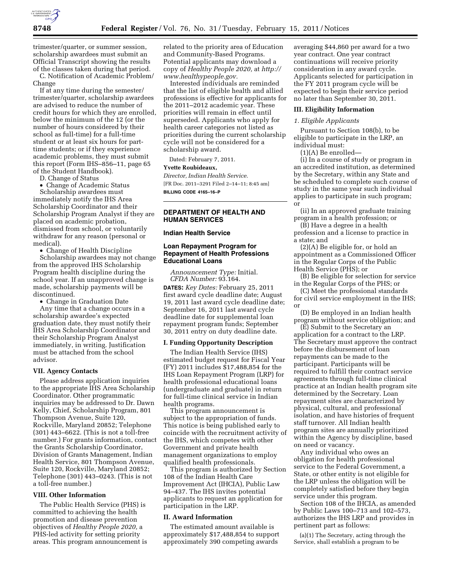

trimester/quarter, or summer session, scholarship awardees must submit an Official Transcript showing the results of the classes taken during that period.

C. Notification of Academic Problem/ Change

If at any time during the semester/ trimester/quarter, scholarship awardees are advised to reduce the number of credit hours for which they are enrolled, below the minimum of the 12 (or the number of hours considered by their school as full-time) for a full-time student or at least six hours for parttime students; or if they experience academic problems, they must submit this report (Form IHS–856–11, page 65 of the Student Handbook).

D. Change of Status

• Change of Academic Status Scholarship awardees must immediately notify the IHS Area Scholarship Coordinator and their Scholarship Program Analyst if they are placed on academic probation, dismissed from school, or voluntarily withdraw for any reason (personal or medical).

• Change of Health Discipline

Scholarship awardees may not change from the approved IHS Scholarship Program health discipline during the school year. If an unapproved change is made, scholarship payments will be discontinued.

• Change in Graduation Date

Any time that a change occurs in a scholarship awardee's expected graduation date, they must notify their IHS Area Scholarship Coordinator and their Scholarship Program Analyst immediately, in writing. Justification must be attached from the school advisor.

#### **VII. Agency Contacts**

Please address application inquiries to the appropriate IHS Area Scholarship Coordinator. Other programmatic inquiries may be addressed to Dr. Dawn Kelly, Chief, Scholarship Program, 801 Thompson Avenue, Suite 120, Rockville, Maryland 20852; Telephone (301) 443–6622. (This is not a toll-free number.) For grants information, contact the Grants Scholarship Coordinator, Division of Grants Management, Indian Health Service, 801 Thompson Avenue, Suite 120, Rockville, Maryland 20852; Telephone (301) 443–0243. (This is not a toll-free number.)

## **VIII. Other Information**

The Public Health Service (PHS) is committed to achieving the health promotion and disease prevention objectives of *Healthy People 2020,* a PHS-led activity for setting priority areas. This program announcement is related to the priority area of Education and Community-Based Programs. Potential applicants may download a copy of *Healthy People 2020,* at *[http://](http://www.healthypeople.gov)  [www.healthypeople.gov.](http://www.healthypeople.gov)* 

Interested individuals are reminded that the list of eligible health and allied professions is effective for applicants for the 2011–2012 academic year. These priorities will remain in effect until superseded. Applicants who apply for health career categories not listed as priorities during the current scholarship cycle will not be considered for a scholarship award.

Dated: February 7, 2011.

## **Yvette Roubideaux,**

*Director, Indian Health Service.*  [FR Doc. 2011–3291 Filed 2–14–11; 8:45 am] **BILLING CODE 4165–16–P** 

# **DEPARTMENT OF HEALTH AND HUMAN SERVICES**

#### **Indian Health Service**

# **Loan Repayment Program for Repayment of Health Professions Educational Loans**

*Announcement Type:* Initial. *CFDA Number:* 93.164.

**DATES:** *Key Dates:* February 25, 2011 first award cycle deadline date; August 19, 2011 last award cycle deadline date; September 16, 2011 last award cycle deadline date for supplemental loan repayment program funds; September 30, 2011 entry on duty deadline date.

#### **I. Funding Opportunity Description**

The Indian Health Service (IHS) estimated budget request for Fiscal Year (FY) 2011 includes \$17,488,854 for the IHS Loan Repayment Program (LRP) for health professional educational loans (undergraduate and graduate) in return for full-time clinical service in Indian health programs.

This program announcement is subject to the appropriation of funds. This notice is being published early to coincide with the recruitment activity of the IHS, which competes with other Government and private health management organizations to employ qualified health professionals.

This program is authorized by Section 108 of the Indian Health Care Improvement Act (IHCIA), Public Law 94–437. The IHS invites potential applicants to request an application for participation in the LRP.

# **II. Award Information**

The estimated amount available is approximately \$17,488,854 to support approximately 390 competing awards

averaging \$44,860 per award for a two year contract. One year contract continuations will receive priority consideration in any award cycle. Applicants selected for participation in the FY 2011 program cycle will be expected to begin their service period no later than September 30, 2011.

## **III. Eligibility Information**

## *1. Eligible Applicants*

Pursuant to Section 108(b), to be eligible to participate in the LRP, an individual must:

(1)(A) Be enrolled—

(i) In a course of study or program in an accredited institution, as determined by the Secretary, within any State and be scheduled to complete such course of study in the same year such individual applies to participate in such program; or

(ii) In an approved graduate training program in a health profession; or

(B) Have a degree in a health profession and a license to practice in a state; and

(2)(A) Be eligible for, or hold an appointment as a Commissioned Officer in the Regular Corps of the Public Health Service (PHS); or

(B) Be eligible for selection for service in the Regular Corps of the PHS; or

(C) Meet the professional standards for civil service employment in the IHS; or

(D) Be employed in an Indian health program without service obligation; and

(E) Submit to the Secretary an application for a contract to the LRP. The Secretary must approve the contract before the disbursement of loan repayments can be made to the participant. Participants will be required to fulfill their contract service agreements through full-time clinical practice at an Indian health program site determined by the Secretary. Loan repayment sites are characterized by physical, cultural, and professional isolation, and have histories of frequent staff turnover. All Indian health program sites are annually prioritized within the Agency by discipline, based on need or vacancy.

Any individual who owes an obligation for health professional service to the Federal Government, a State, or other entity is not eligible for the LRP unless the obligation will be completely satisfied before they begin service under this program.

Section 108 of the IHCIA, as amended by Public Laws 100–713 and 102–573, authorizes the IHS LRP and provides in pertinent part as follows:

(a)(1) The Secretary, acting through the Service, shall establish a program to be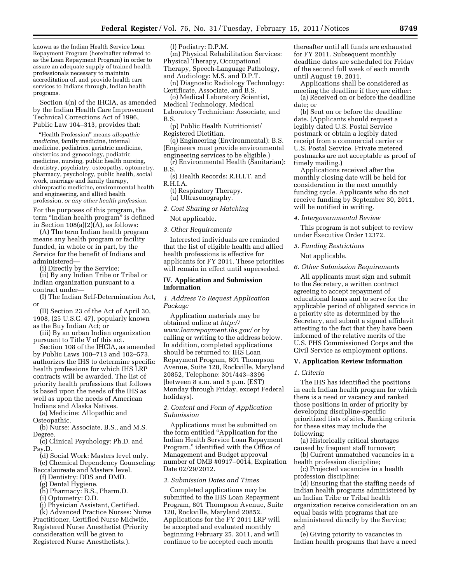known as the Indian Health Service Loan Repayment Program (hereinafter referred to as the Loan Repayment Program) in order to assure an adequate supply of trained health professionals necessary to maintain accreditation of, and provide health care services to Indians through, Indian health programs.

Section 4(n) of the IHCIA, as amended by the Indian Health Care Improvement Technical Corrections Act of 1996, Public Law 104–313, provides that:

''Health Profession'' means *allopathic medicine,* family medicine, internal medicine, pediatrics, geriatric medicine, obstetrics and gynecology, podiatric medicine, nursing, public health nursing, dentistry, psychiatry, osteopathy, optometry, pharmacy, psychology, public health, social work, marriage and family therapy, chiropractic medicine, environmental health and engineering, and allied health profession, *or any other health profession.* 

For the purposes of this program, the term "Indian health program" is defined in Section 108(a)(2)(A), as follows:

(A) The term Indian health program means any health program or facility funded, in whole or in part, by the Service for the benefit of Indians and administered—

(i) Directly by the Service;

(ii) By any Indian Tribe or Tribal or Indian organization pursuant to a contract under—

(I) The Indian Self-Determination Act, or

(II) Section 23 of the Act of April 30, 1908, (25 U.S.C. 47), popularly known as the Buy Indian Act; or

(iii) By an urban Indian organization pursuant to Title V of this act.

Section 108 of the IHCIA, as amended by Public Laws 100–713 and 102–573, authorizes the IHS to determine specific health professions for which IHS LRP contracts will be awarded. The list of priority health professions that follows is based upon the needs of the IHS as well as upon the needs of American Indians and Alaska Natives.

(a) Medicine: Allopathic and Osteopathic.

(b) Nurse: Associate, B.S., and M.S. Degree.

(c) Clinical Psychology: Ph.D. and Psy.D.

(d) Social Work: Masters level only. (e) Chemical Dependency Counseling:

- Baccalaureate and Masters level.
	- (f) Dentistry: DDS and DMD.
	- (g) Dental Hygiene. (h) Pharmacy: B.S., Pharm.D.
	- (i) Optometry: O.D.
	- (j) Physician Assistant, Certified.
	-

(k) Advanced Practice Nurses: Nurse Practitioner, Certified Nurse Midwife, Registered Nurse Anesthetist (Priority consideration will be given to Registered Nurse Anesthetists.).

(l) Podiatry: D.P.M.

(m) Physical Rehabilitation Services: Physical Therapy, Occupational Therapy, Speech-Language Pathology, and Audiology: M.S. and D.P.T.

(n) Diagnostic Radiology Technology: Certificate, Associate, and B.S.

(o) Medical Laboratory Scientist, Medical Technology, Medical Laboratory Technician: Associate, and B.S.

(p) Public Health Nutritionist/ Registered Dietitian.

(q) Engineering (Environmental): B.S. (Engineers must provide environmental engineering services to be eligible.)

(r) Environmental Health (Sanitarian): B.S.

(s) Health Records: R.H.I.T. and R.H.I.A.

(t) Respiratory Therapy.

(u) Ultrasonography.

*2. Cost Sharing or Matching* 

Not applicable.

# *3. Other Requirements*

Interested individuals are reminded that the list of eligible health and allied health professions is effective for applicants for FY 2011. These priorities will remain in effect until superseded.

## **IV. Application and Submission Information**

# *1. Address To Request Application Package*

Application materials may be obtained online at *[http://](http://www.loanrepayment.ihs.gov/)  [www.loanrepayment.ihs.gov/](http://www.loanrepayment.ihs.gov/)* or by calling or writing to the address below. In addition, completed applications should be returned to: IHS Loan Repayment Program, 801 Thompson Avenue, Suite 120, Rockville, Maryland 20852, Telephone: 301/443–3396 [between 8 a.m. and 5 p.m. (EST) Monday through Friday, except Federal holidays].

# *2. Content and Form of Application Submission*

Applications must be submitted on the form entitled ''Application for the Indian Health Service Loan Repayment Program,'' identified with the Office of Management and Budget approval number of OMB #0917–0014, Expiration Date 02/29/2012.

# *3. Submission Dates and Times*

Completed applications may be submitted to the IHS Loan Repayment Program, 801 Thompson Avenue, Suite 120, Rockville, Maryland 20852. Applications for the FY 2011 LRP will be accepted and evaluated monthly beginning February 25, 2011, and will continue to be accepted each month

thereafter until all funds are exhausted for FY 2011. Subsequent monthly deadline dates are scheduled for Friday of the second full week of each month until August 19, 2011.

Applications shall be considered as meeting the deadline if they are either: (a) Received on or before the deadline

date; or (b) Sent on or before the deadline

date. (Applicants should request a legibly dated U.S. Postal Service postmark or obtain a legibly dated receipt from a commercial carrier or U.S. Postal Service. Private metered postmarks are not acceptable as proof of timely mailing.)

Applications received after the monthly closing date will be held for consideration in the next monthly funding cycle. Applicants who do not receive funding by September 30, 2011, will be notified in writing.

*4. Intergovernmental Review* 

This program is not subject to review under Executive Order 12372.

## *5. Funding Restrictions*

Not applicable.

#### *6. Other Submission Requirements*

All applicants must sign and submit to the Secretary, a written contract agreeing to accept repayment of educational loans and to serve for the applicable period of obligated service in a priority site as determined by the Secretary, and submit a signed affidavit attesting to the fact that they have been informed of the relative merits of the U.S. PHS Commissioned Corps and the Civil Service as employment options.

# **V. Application Review Information**

## *1. Criteria*

The IHS has identified the positions in each Indian health program for which there is a need or vacancy and ranked those positions in order of priority by developing discipline-specific prioritized lists of sites. Ranking criteria for these sites may include the following:

(a) Historically critical shortages caused by frequent staff turnover;

(b) Current unmatched vacancies in a health profession discipline;

(c) Projected vacancies in a health profession discipline;

(d) Ensuring that the staffing needs of Indian health programs administered by an Indian Tribe or Tribal health organization receive consideration on an equal basis with programs that are administered directly by the Service; and

(e) Giving priority to vacancies in Indian health programs that have a need